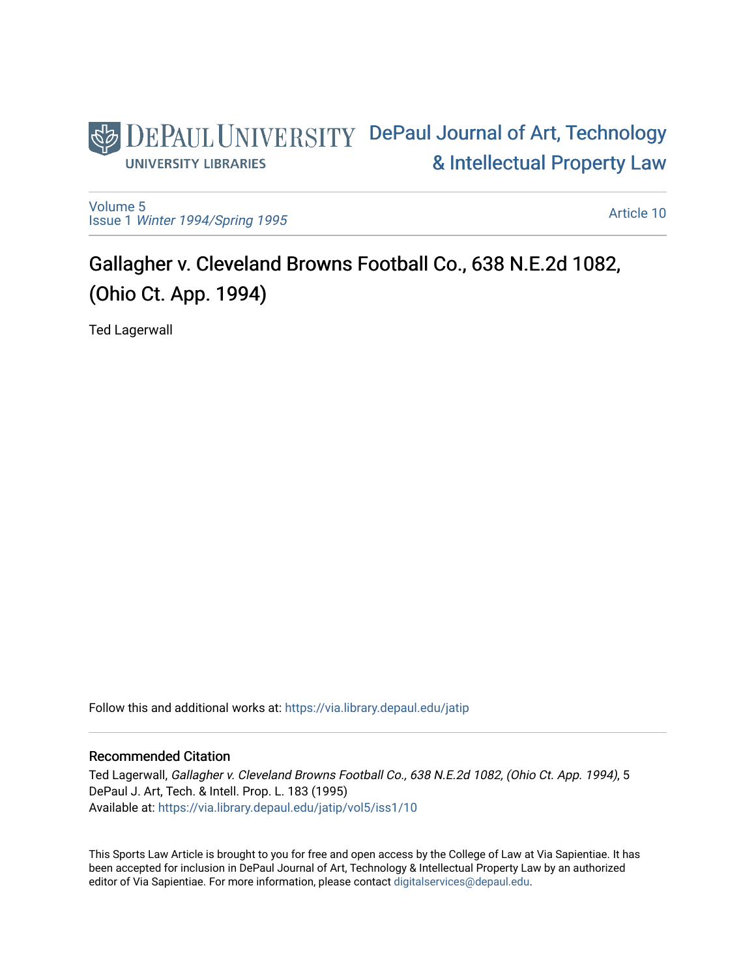

[Volume 5](https://via.library.depaul.edu/jatip/vol5) Issue 1 [Winter 1994/Spring 1995](https://via.library.depaul.edu/jatip/vol5/iss1)

[Article 10](https://via.library.depaul.edu/jatip/vol5/iss1/10) 

# Gallagher v. Cleveland Browns Football Co., 638 N.E.2d 1082, (Ohio Ct. App. 1994)

Ted Lagerwall

Follow this and additional works at: [https://via.library.depaul.edu/jatip](https://via.library.depaul.edu/jatip?utm_source=via.library.depaul.edu%2Fjatip%2Fvol5%2Fiss1%2F10&utm_medium=PDF&utm_campaign=PDFCoverPages)

# Recommended Citation

Ted Lagerwall, Gallagher v. Cleveland Browns Football Co., 638 N.E.2d 1082, (Ohio Ct. App. 1994), 5 DePaul J. Art, Tech. & Intell. Prop. L. 183 (1995) Available at: [https://via.library.depaul.edu/jatip/vol5/iss1/10](https://via.library.depaul.edu/jatip/vol5/iss1/10?utm_source=via.library.depaul.edu%2Fjatip%2Fvol5%2Fiss1%2F10&utm_medium=PDF&utm_campaign=PDFCoverPages) 

This Sports Law Article is brought to you for free and open access by the College of Law at Via Sapientiae. It has been accepted for inclusion in DePaul Journal of Art, Technology & Intellectual Property Law by an authorized editor of Via Sapientiae. For more information, please contact [digitalservices@depaul.edu](mailto:digitalservices@depaul.edu).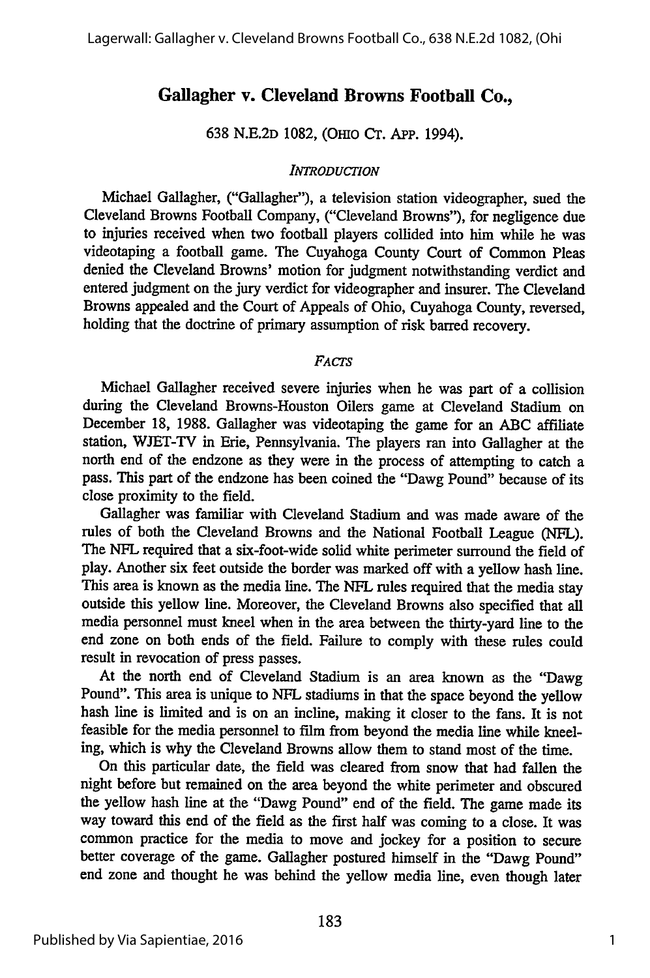# **Gallagher v. Cleveland Browns Football Co.,**

**638** N.E.2D 1082, (OHIo Cr. **App.** 1994).

#### *INTRODUCTION*

Michael Gallagher, ("Gallagher"), a television station videographer, sued the Cleveland Browns Football Company, ("Cleveland Browns"), for negligence due to injuries received when two football players collided into him while he was videotaping a football game. The Cuyahoga County Court of Common Pleas denied the Cleveland Browns' motion for judgment notwithstanding verdict and entered judgment on the jury verdict for videographer and insurer. The Cleveland Browns appealed and the Court of Appeals of Ohio, Cuyahoga County, reversed, holding that the doctrine of primary assumption of risk barred recovery.

## *FACTS*

Michael Gallagher received severe injuries when he was part of a collision during the Cleveland Browns-Houston Oilers game at Cleveland Stadium on December 18, 1988. Gallagher was videotaping the game for an ABC affiliate station, WJET-TV in Erie, Pennsylvania. The players ran into Gallagher at the north end of the endzone as they were in the process of attempting to catch a pass. This part of the endzone has been coined the "Dawg Pound" because of its close proximity to the field.

Gallagher was familiar with Cleveland Stadium and was made aware of the rules of both the Cleveland Browns and the National Football League (NFL). The NFL required that a six-foot-wide solid white perimeter surround the field of play. Another six feet outside the border was marked off with a yellow hash line. This area is known as the media line. The NFL rules required that the media stay outside this yellow line. Moreover, the Cleveland Browns also specified that all media personnel must kneel when in the area between the thirty-yard line to the end zone on both ends of the field. Failure to comply with these rules could result in revocation of press passes.

At the north end of Cleveland Stadium is an area known as the "Dawg Pound". This area is unique to NFL stadiums in that the space beyond the yellow hash line is limited and is on an incline, making it closer to the fans. It is not feasible for the media personnel to film from beyond the media line while kneeling, which is why the Cleveland Browns allow them to stand most of the time.

On this particular date, the field was cleared from snow that had fallen the night before but remained on the area beyond the white perimeter and obscured the yellow hash line at the "Dawg Pound" end of the field. The game made its way toward this end of the field as the first half was coming to a close. It was common practice for the media to move and jockey for a position to secure better coverage of the game. Gallagher postured himself in the "Dawg Pound" end zone and thought he was behind the yellow media line, even though later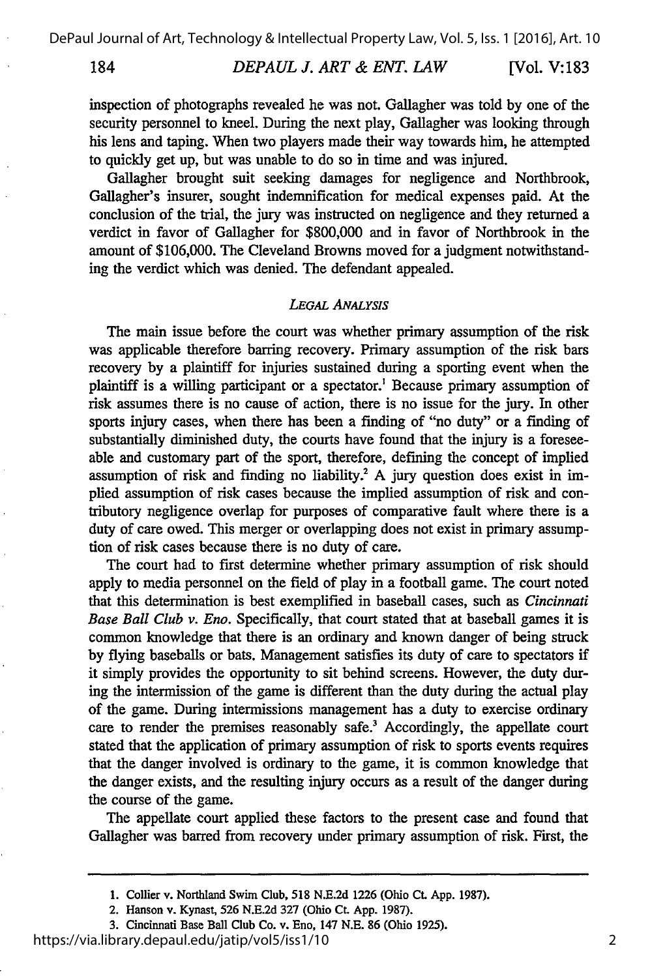184

inspection of photographs revealed he was not. Gallagher was told by one of the security personnel to kneel. During the next play, Gallagher was looking through his lens and taping. When two players made their way towards him, he attempted to quickly get up, but was unable to do so in time and was injured.

Gallagher brought suit seeking damages for negligence and Northbrook, Gallagher's insurer, sought indemnification for medical expenses paid. At the conclusion of the trial, the jury was instructed on negligence and they returned a verdict in favor of Gallagher for \$800,000 and in favor of Northbrook in the amount of \$106,000. The Cleveland Browns moved for a judgment notwithstanding the verdict which was denied. The defendant appealed.

## *LEGAL ANALYSIS*

The main issue before the court was whether primary assumption of the risk was applicable therefore barring recovery. Primary assumption of the risk bars recovery by a plaintiff for injuries sustained during a sporting event when the plaintiff is a willing participant or a spectator.' Because primary assumption of risk assumes there is no cause of action, there is no issue for the jury. In other sports injury cases, when there has been a finding of "no duty" or a finding of substantially diminished duty, the courts have found that the injury is a foreseeable and customary part of the sport, therefore, defining the concept of implied assumption of risk and finding no liability.<sup>2</sup> A jury question does exist in implied assumption of risk cases because the implied assumption of risk and contributory negligence overlap for purposes of comparative fault where there is a duty of care owed. This merger or overlapping does not exist in primary assumption of risk cases because there is no duty of care.

The court had to first determine whether primary assumption of risk should apply to media personnel on the field of play in a football game. The court noted that this determination is best exemplified in baseball cases, such as *Cincinnati Base Ball Club v. Eno.* Specifically, that court stated that at baseball games it is common knowledge that there is an ordinary and known danger of being struck by flying baseballs or bats. Management satisfies its duty of care to spectators if it simply provides the opportunity to sit behind screens. However, the duty during the intermission of the game is different than the duty during the actual play of the game. During intermissions management has a duty to exercise ordinary care to render the premises reasonably safe.<sup>3</sup> Accordingly, the appellate court stated that the application of primary assumption of risk to sports events requires that the danger involved is ordinary to the game, it is common knowledge that the danger exists, and the resulting injury occurs as a result of the danger during the course of the game.

The appellate court applied these factors to the present case and found that Gallagher was barred from recovery under primary assumption of risk. First, the

https://via.library.depaul.edu/jatip/vol5/iss1/10

**<sup>1.</sup>** Collier v. Northland Swim Club, **518 N.E.2d 1226** (Ohio **CL. App. 1987).**

<sup>2.</sup> Hanson v. Kynast, **526 N.E.2d 327** (Ohio **Ct. App. 1987).**

**<sup>3.</sup>** Cincinnati Base Ball Club Co. v. Eno, 147 **N.E. 86** (Ohio **1925).**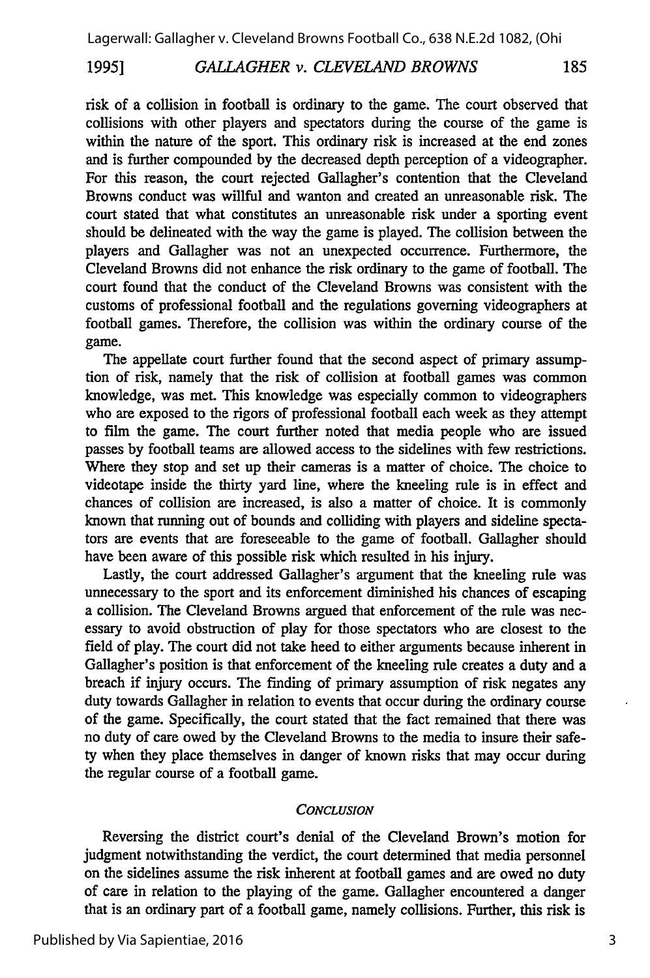## 19951 *GALLAGHER v. CLEVELAND BROWNS* 185

risk of a collision in football is ordinary to the game. The court observed that collisions with other players and spectators during the course of the game is within the nature of the sport. This ordinary risk is increased at the end zones and is further compounded by the decreased depth perception of a videographer. For this reason, the court rejected Gallagher's contention that the Cleveland Browns conduct was willful and wanton and created an unreasonable risk. The court stated that what constitutes an unreasonable risk under a sporting event should be delineated with the way the game is played. The collision between the players and Gallagher was not an unexpected occurrence. Furthermore, the Cleveland Browns did not enhance the risk ordinary to the game of football. The court found that the conduct of the Cleveland Browns was consistent with the customs of professional football and the regulations governing videographers at football games. Therefore, the collision was within the ordinary course of the game.

The appellate court further found that the second aspect of primary assumption of risk, namely that the risk of collision at football games was common knowledge, was met. This knowledge was especially common to videographers who are exposed to the rigors of professional football each week as they attempt to film the game. The court further noted that media people who are issued passes by football teams are allowed access to the sidelines with few restrictions. Where they stop and set up their cameras is a matter of choice. The choice to videotape inside the thirty yard line, where the kneeling rule is in effect and chances of collision are increased, is also a matter of choice. It is commonly known that running out of bounds and colliding with players and sideline spectators are events that are foreseeable to the game of football. Gallagher should have been aware of this possible risk which resulted in his injury.

Lastly, the court addressed Gallagher's argument that the kneeling rule was unnecessary to the sport and its enforcement diminished his chances of escaping a collision. The Cleveland Browns argued that enforcement of the rule was necessary to avoid obstruction of play for those spectators who are closest to the field of play. The court did not take heed to either arguments because inherent in Gallagher's position is that enforcement of the kneeling rule creates a duty and a breach if injury occurs. The finding of primary assumption of risk negates any duty towards Gallagher in relation to events that occur during the ordinary course of the game. Specifically, the court stated that the fact remained that there was no duty of care owed by the Cleveland Browns to the media to insure their safety when they place themselves in danger of known risks that may occur during the regular course of a football game.

## *CONCLUSION*

Reversing the district court's denial of the Cleveland Brown's motion for judgment notwithstanding the verdict, the court determined that media personnel on the sidelines assume the risk inherent at football games and are owed no duty of care in relation to the playing of the game. Gallagher encountered a danger that is an ordinary part of a football game, namely collisions. Further, this risk is